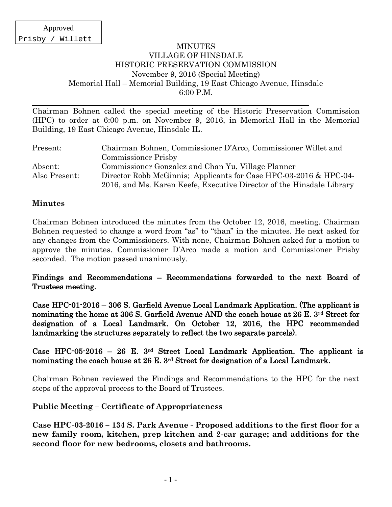#### MINUTES VILLAGE OF HINSDALE HISTORIC PRESERVATION COMMISSION November 9, 2016 (Special Meeting) Memorial Hall – Memorial Building, 19 East Chicago Avenue, Hinsdale 6:00 P.M.

Chairman Bohnen called the special meeting of the Historic Preservation Commission (HPC) to order at 6:00 p.m. on November 9, 2016, in Memorial Hall in the Memorial Building, 19 East Chicago Avenue, Hinsdale IL.

| Present:      | Chairman Bohnen, Commissioner D'Arco, Commissioner Willet and         |
|---------------|-----------------------------------------------------------------------|
|               | <b>Commissioner Prisby</b>                                            |
| Absent:       | Commissioner Gonzalez and Chan Yu, Village Planner                    |
| Also Present: | Director Robb McGinnis; Applicants for Case HPC-03-2016 & HPC-04-     |
|               | 2016, and Ms. Karen Keefe, Executive Director of the Hinsdale Library |

#### **Minutes**

Chairman Bohnen introduced the minutes from the October 12, 2016, meeting. Chairman Bohnen requested to change a word from "as" to "than" in the minutes. He next asked for any changes from the Commissioners. With none, Chairman Bohnen asked for a motion to approve the minutes. Commissioner D'Arco made a motion and Commissioner Prisby seconded. The motion passed unanimously.

### Findings and Recommendations – Recommendations forwarded to the next Board of Trustees meeting.

Case HPC-01-2016 – 306 S. Garfield Avenue Local Landmark Application. (The applicant is nominating the home at 306 S. Garfield Avenue AND the coach house at 26 E. 3rd Street for designation of a Local Landmark. On October 12, 2016, the HPC recommended landmarking the structures separately to reflect the two separate parcels).

### Case HPC-05-2016 – 26 E. 3rd Street Local Landmark Application. The applicant is nominating the coach house at 26 E. 3rd Street for designation of a Local Landmark.

Chairman Bohnen reviewed the Findings and Recommendations to the HPC for the next steps of the approval process to the Board of Trustees.

### **Public Meeting – Certificate of Appropriateness**

**Case HPC-03-2016 – 134 S. Park Avenue - Proposed additions to the first floor for a new family room, kitchen, prep kitchen and 2-car garage; and additions for the second floor for new bedrooms, closets and bathrooms.**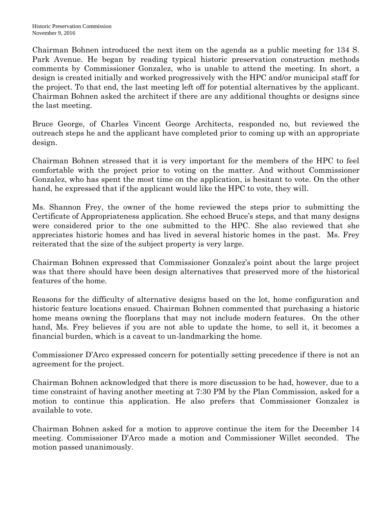Chairman Bohnen introduced the next item on the agenda as a public meeting for 134 S. Park Avenue. He began by reading typical historic preservation construction methods comments by Commissioner Gonzalez, who is unable to attend the meeting. In short, a design is created initially and worked progressively with the HPC and/or municipal staff for the project. To that end, the last meeting left off for potential alternatives by the applicant. Chairman Bohnen asked the architect if there are any additional thoughts or designs since the last meeting.

Bruce George, of Charles Vincent George Architects, responded no, but reviewed the outreach steps he and the applicant have completed prior to coming up with an appropriate design.

Chairman Bohnen stressed that it is very important for the members of the HPC to feel comfortable with the project prior to voting on the matter. And without Commissioner Gonzalez, who has spent the most time on the application, is hesitant to vote. On the other hand, he expressed that if the applicant would like the HPC to vote, they will.

Ms. Shannon Frey, the owner of the home reviewed the steps prior to submitting the Certificate of Appropriateness application. She echoed Bruce's steps, and that many designs were considered prior to the one submitted to the HPC. She also reviewed that she appreciates historic homes and has lived in several historic homes in the past. Ms. Frey reiterated that the size of the subject property is very large.

Chairman Bohnen expressed that Commissioner Gonzalez's point about the large project was that there should have been design alternatives that preserved more of the historical features of the home.

Reasons for the difficulty of alternative designs based on the lot, home configuration and historic feature locations ensued. Chairman Bohnen commented that purchasing a historic home means owning the floorplans that may not include modern features. On the other hand, Ms. Frey believes if you are not able to update the home, to sell it, it becomes a financial burden, which is a caveat to un-landmarking the home.

Commissioner D'Arco expressed concern for potentially setting precedence if there is not an agreement for the project.

Chairman Bohnen acknowledged that there is more discussion to be had, however, due to a time constraint of having another meeting at 7:30 PM by the Plan Commission, asked for a motion to continue this application. He also prefers that Commissioner Gonzalez is available to vote.

Chairman Bohnen asked for a motion to approve continue the item for the December 14 meeting. Commissioner D'Arco made a motion and Commissioner Willet seconded. The motion passed unanimously.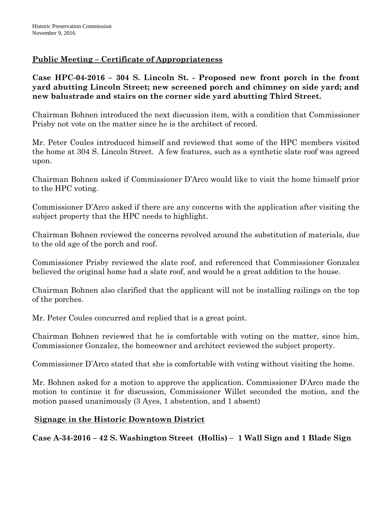# **Public Meeting – Certificate of Appropriateness**

**Case HPC-04-2016 – 304 S. Lincoln St. - Proposed new front porch in the front yard abutting Lincoln Street; new screened porch and chimney on side yard; and new balustrade and stairs on the corner side yard abutting Third Street.**

Chairman Bohnen introduced the next discussion item, with a condition that Commissioner Prisby not vote on the matter since he is the architect of record.

Mr. Peter Coules introduced himself and reviewed that some of the HPC members visited the home at 304 S. Lincoln Street. A few features, such as a synthetic slate roof was agreed upon.

Chairman Bohnen asked if Commissioner D'Arco would like to visit the home himself prior to the HPC voting.

Commissioner D'Arco asked if there are any concerns with the application after visiting the subject property that the HPC needs to highlight.

Chairman Bohnen reviewed the concerns revolved around the substitution of materials, due to the old age of the porch and roof.

Commissioner Prisby reviewed the slate roof, and referenced that Commissioner Gonzalez believed the original home had a slate roof, and would be a great addition to the house.

Chairman Bohnen also clarified that the applicant will not be installing railings on the top of the porches.

Mr. Peter Coules concurred and replied that is a great point.

Chairman Bohnen reviewed that he is comfortable with voting on the matter, since him, Commissioner Gonzalez, the homeowner and architect reviewed the subject property.

Commissioner D'Arco stated that she is comfortable with voting without visiting the home.

Mr. Bohnen asked for a motion to approve the application. Commissioner D'Arco made the motion to continue it for discussion, Commissioner Willet seconded the motion, and the motion passed unanimously (3 Ayes, 1 abstention, and 1 absent)

# **Signage in the Historic Downtown District**

**Case A-34-2016 – 42 S. Washington Street (Hollis) – 1 Wall Sign and 1 Blade Sign**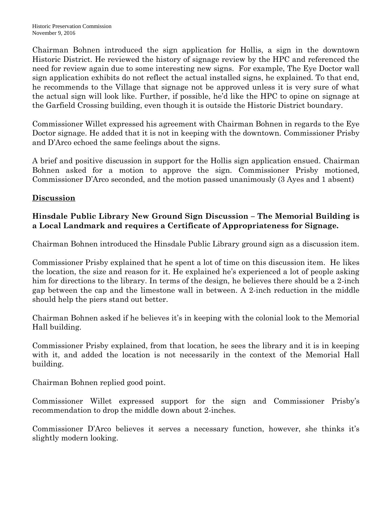Chairman Bohnen introduced the sign application for Hollis, a sign in the downtown Historic District. He reviewed the history of signage review by the HPC and referenced the need for review again due to some interesting new signs. For example, The Eye Doctor wall sign application exhibits do not reflect the actual installed signs, he explained. To that end, he recommends to the Village that signage not be approved unless it is very sure of what the actual sign will look like. Further, if possible, he'd like the HPC to opine on signage at the Garfield Crossing building, even though it is outside the Historic District boundary.

Commissioner Willet expressed his agreement with Chairman Bohnen in regards to the Eye Doctor signage. He added that it is not in keeping with the downtown. Commissioner Prisby and D'Arco echoed the same feelings about the signs.

A brief and positive discussion in support for the Hollis sign application ensued. Chairman Bohnen asked for a motion to approve the sign. Commissioner Prisby motioned, Commissioner D'Arco seconded, and the motion passed unanimously (3 Ayes and 1 absent)

### **Discussion**

## **Hinsdale Public Library New Ground Sign Discussion – The Memorial Building is a Local Landmark and requires a Certificate of Appropriateness for Signage.**

Chairman Bohnen introduced the Hinsdale Public Library ground sign as a discussion item.

Commissioner Prisby explained that he spent a lot of time on this discussion item. He likes the location, the size and reason for it. He explained he's experienced a lot of people asking him for directions to the library. In terms of the design, he believes there should be a 2-inch gap between the cap and the limestone wall in between. A 2-inch reduction in the middle should help the piers stand out better.

Chairman Bohnen asked if he believes it's in keeping with the colonial look to the Memorial Hall building.

Commissioner Prisby explained, from that location, he sees the library and it is in keeping with it, and added the location is not necessarily in the context of the Memorial Hall building.

Chairman Bohnen replied good point.

Commissioner Willet expressed support for the sign and Commissioner Prisby's recommendation to drop the middle down about 2-inches.

Commissioner D'Arco believes it serves a necessary function, however, she thinks it's slightly modern looking.